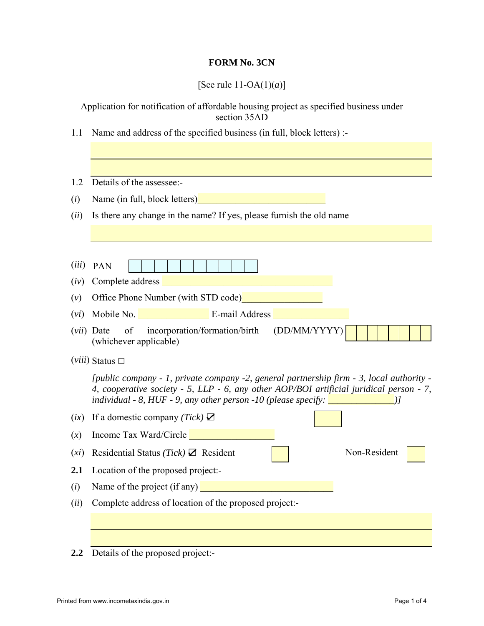## **FORM No. 3CN**

[See rule 11-OA(1)(*a*)]

Application for notification of affordable housing project as specified business under section 35AD

1.1 Name and address of the specified business (in full, block letters) :-

| 1.2   | Details of the assessee:-                                                                                                                                                                                                                                                                                                  |  |  |  |  |
|-------|----------------------------------------------------------------------------------------------------------------------------------------------------------------------------------------------------------------------------------------------------------------------------------------------------------------------------|--|--|--|--|
| (i)   | Name (in full, block letters)                                                                                                                                                                                                                                                                                              |  |  |  |  |
| (ii)  | Is there any change in the name? If yes, please furnish the old name                                                                                                                                                                                                                                                       |  |  |  |  |
|       |                                                                                                                                                                                                                                                                                                                            |  |  |  |  |
|       |                                                                                                                                                                                                                                                                                                                            |  |  |  |  |
| (iii) | PAN                                                                                                                                                                                                                                                                                                                        |  |  |  |  |
| (iv)  | Complete address<br><u> 1990 - Johann Barbara, martxa alemaniar a</u>                                                                                                                                                                                                                                                      |  |  |  |  |
| (v)   | Office Phone Number (with STD code)                                                                                                                                                                                                                                                                                        |  |  |  |  |
| (vi)  | Mobile No. <b>E-mail Address</b>                                                                                                                                                                                                                                                                                           |  |  |  |  |
| (vii) | incorporation/formation/birth<br>(DD/MM/YYYY)<br>of<br>Date<br>(whichever applicable)                                                                                                                                                                                                                                      |  |  |  |  |
|       | $(viii)$ Status $\Box$                                                                                                                                                                                                                                                                                                     |  |  |  |  |
|       | [public company - 1, private company -2, general partnership firm - 3, local authority -<br>4, cooperative society - 5, LLP - 6, any other AOP/BOI artificial juridical person - 7,<br>individual - 8, HUF - 9, any other person -10 (please specify: $\boxed{\underline{\hspace{2cm}}$ $\boxed{\underline{\hspace{2cm}}}$ |  |  |  |  |
| (ix)  | If a domestic company (Tick) $\mathbf{\Sigma}$                                                                                                                                                                                                                                                                             |  |  |  |  |
| (x)   | Income Tax Ward/Circle <b>Example 2014</b>                                                                                                                                                                                                                                                                                 |  |  |  |  |
| (xi)  | Non-Resident<br>Residential Status (Tick) $\boxtimes$ Resident                                                                                                                                                                                                                                                             |  |  |  |  |
| 2.1   | Location of the proposed project:-                                                                                                                                                                                                                                                                                         |  |  |  |  |
| (i)   | Name of the project (if any)                                                                                                                                                                                                                                                                                               |  |  |  |  |
| (ii)  | Complete address of location of the proposed project:-                                                                                                                                                                                                                                                                     |  |  |  |  |
|       |                                                                                                                                                                                                                                                                                                                            |  |  |  |  |
|       |                                                                                                                                                                                                                                                                                                                            |  |  |  |  |
| 2.2   | Details of the proposed project:-                                                                                                                                                                                                                                                                                          |  |  |  |  |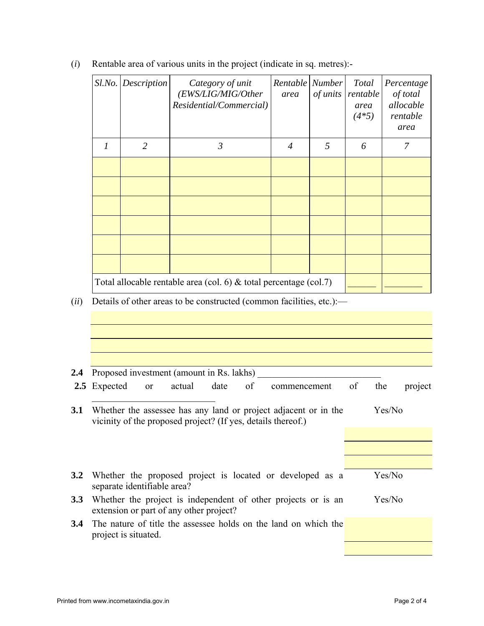|                                                                      | Sl.No. Description                                                  | Category of unit<br>(EWS/LIG/MIG/Other<br>Residential/Commercial) | Rentable Number<br>area | of units | Total<br>rentable<br>area<br>$(4*5)$ | Percentage<br>of total<br>allocable<br>rentable<br>area |
|----------------------------------------------------------------------|---------------------------------------------------------------------|-------------------------------------------------------------------|-------------------------|----------|--------------------------------------|---------------------------------------------------------|
| $\mathcal{I}$                                                        | $\overline{2}$                                                      | $\mathfrak{Z}$                                                    | $\overline{4}$          | 5        | 6                                    | 7                                                       |
|                                                                      |                                                                     |                                                                   |                         |          |                                      |                                                         |
|                                                                      |                                                                     |                                                                   |                         |          |                                      |                                                         |
|                                                                      |                                                                     |                                                                   |                         |          |                                      |                                                         |
|                                                                      |                                                                     |                                                                   |                         |          |                                      |                                                         |
|                                                                      |                                                                     |                                                                   |                         |          |                                      |                                                         |
|                                                                      |                                                                     |                                                                   |                         |          |                                      |                                                         |
|                                                                      | Total allocable rentable area (col. 6) $&$ total percentage (col.7) |                                                                   |                         |          |                                      |                                                         |
| Details of other areas to be constructed (common facilities, etc.):— |                                                                     |                                                                   |                         |          |                                      |                                                         |
|                                                                      |                                                                     |                                                                   |                         |          |                                      |                                                         |
|                                                                      |                                                                     |                                                                   |                         |          |                                      |                                                         |

(*i*) Rentable area of various units in the project (indicate in sq. metres):-

| 2.4           | Proposed investment (amount in Rs. lakhs)                                                                                       |    |        |         |
|---------------|---------------------------------------------------------------------------------------------------------------------------------|----|--------|---------|
|               | of<br>actual<br>2.5 Expected<br>date<br>commencement<br><sub>or</sub>                                                           | of | the    | project |
| <b>3.1</b>    | Whether the assessee has any land or project adjacent or in the<br>vicinity of the proposed project? (If yes, details thereof.) |    | Yes/No |         |
|               |                                                                                                                                 |    |        |         |
|               |                                                                                                                                 |    |        |         |
| 3.2           | Whether the proposed project is located or developed as a<br>separate identifiable area?                                        |    | Yes/No |         |
| 3.3           | Whether the project is independent of other projects or is an<br>extension or part of any other project?                        |    | Yes/No |         |
| $3.4^{\circ}$ | The nature of title the assessee holds on the land on which the<br>project is situated.                                         |    |        |         |
|               |                                                                                                                                 |    |        |         |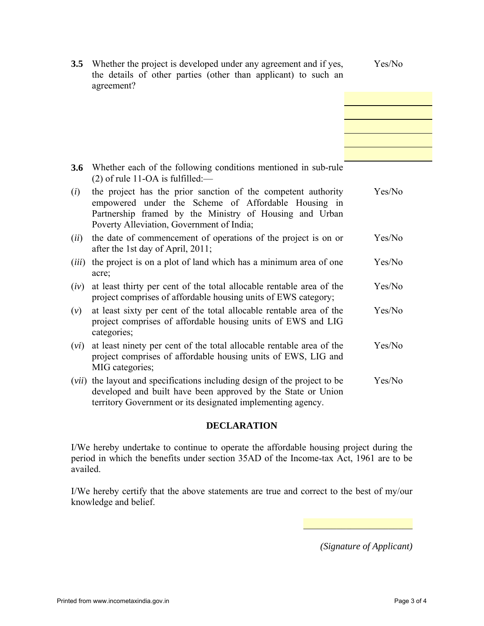| 3.5   | Whether the project is developed under any agreement and if yes,<br>the details of other parties (other than applicant) to such an<br>agreement?                                                                             | Yes/No |
|-------|------------------------------------------------------------------------------------------------------------------------------------------------------------------------------------------------------------------------------|--------|
|       |                                                                                                                                                                                                                              |        |
|       |                                                                                                                                                                                                                              |        |
| 3.6   | Whether each of the following conditions mentioned in sub-rule<br>$(2)$ of rule 11-OA is fulfilled:—                                                                                                                         |        |
| (i)   | the project has the prior sanction of the competent authority<br>empowered under the Scheme of Affordable Housing in<br>Partnership framed by the Ministry of Housing and Urban<br>Poverty Alleviation, Government of India; | Yes/No |
| (ii)  | the date of commencement of operations of the project is on or<br>after the 1st day of April, 2011;                                                                                                                          | Yes/No |
| (iii) | the project is on a plot of land which has a minimum area of one<br>acre;                                                                                                                                                    | Yes/No |
| (iv)  | at least thirty per cent of the total allocable rentable area of the<br>project comprises of affordable housing units of EWS category;                                                                                       | Yes/No |
| (v)   | at least sixty per cent of the total allocable rentable area of the<br>project comprises of affordable housing units of EWS and LIG<br>categories;                                                                           | Yes/No |
| (vi)  | at least ninety per cent of the total allocable rentable area of the<br>project comprises of affordable housing units of EWS, LIG and<br>MIG categories;                                                                     | Yes/No |
| (vii) | the layout and specifications including design of the project to be<br>developed and built have been approved by the State or Union<br>territory Government or its designated implementing agency.                           | Yes/No |

## **DECLARATION**

I/We hereby undertake to continue to operate the affordable housing project during the period in which the benefits under section 35AD of the Income-tax Act, 1961 are to be availed.

I/We hereby certify that the above statements are true and correct to the best of my/our knowledge and belief.

*(Signature of Applicant)* 

 $\mathcal{L}_\text{max}$